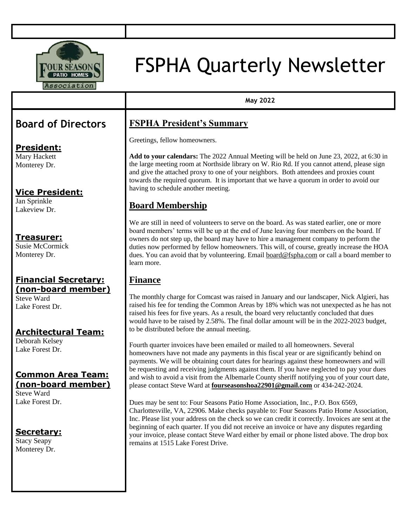

# FSPHA Quarterly Newsletter

**May 2022**

## **Board of Directors**

#### **President:**

Mary Hackett Monterey Dr.

#### **Vice President:**

Jan Sprinkle Lakeview Dr.

#### **Treasurer:**

Susie McCormick Monterey Dr.

#### **Financial Secretary: (non-board member)**

Steve Ward Lake Forest Dr.

#### **Architectural Team:**

Deborah Kelsey Lake Forest Dr.

#### **Common Area Team: (non-board member)**

Steve Ward Lake Forest Dr.

#### **Secretary:**

Stacy Seapy Monterey Dr.

## **FSPHA President's Summary**

Greetings, fellow homeowners.

**Add to your calendars:** The 2022 Annual Meeting will be held on June 23, 2022, at 6:30 in the large meeting room at Northside library on W. Rio Rd. If you cannot attend, please sign and give the attached proxy to one of your neighbors. Both attendees and proxies count towards the required quorum. It is important that we have a quorum in order to avoid our having to schedule another meeting.

## **Board Membership**

We are still in need of volunteers to serve on the board. As was stated earlier, one or more board members' terms will be up at the end of June leaving four members on the board. If owners do not step up, the board may have to hire a management company to perform the duties now performed by fellow homeowners. This will, of course, greatly increase the HOA dues. You can avoid that by volunteering. Email [board@fspha.com](mailto:board@fspha.com) or call a board member to learn more.

#### **Finance**

The monthly charge for Comcast was raised in January and our landscaper, Nick Algieri, has raised his fee for tending the Common Areas by 18% which was not unexpected as he has not raised his fees for five years. As a result, the board very reluctantly concluded that dues would have to be raised by 2.58%. The final dollar amount will be in the 2022-2023 budget, to be distributed before the annual meeting.

Fourth quarter invoices have been emailed or mailed to all homeowners. Several homeowners have not made any payments in this fiscal year or are significantly behind on payments. We will be obtaining court dates for hearings against these homeowners and will be requesting and receiving judgments against them. If you have neglected to pay your dues and wish to avoid a visit from the Albemarle County sheriff notifying you of your court date, please contact Steve Ward at **fourseasonshoa22901@gmail.com** or 434-242-2024.

Dues may be sent to: Four Seasons Patio Home Association, Inc., P.O. Box 6569, Charlottesville, VA, 22906. Make checks payable to: Four Seasons Patio Home Association, Inc. Please list your address on the check so we can credit it correctly. Invoices are sent at the beginning of each quarter. If you did not receive an invoice or have any disputes regarding your invoice, please contact Steve Ward either by email or phone listed above. The drop box remains at 1515 Lake Forest Drive.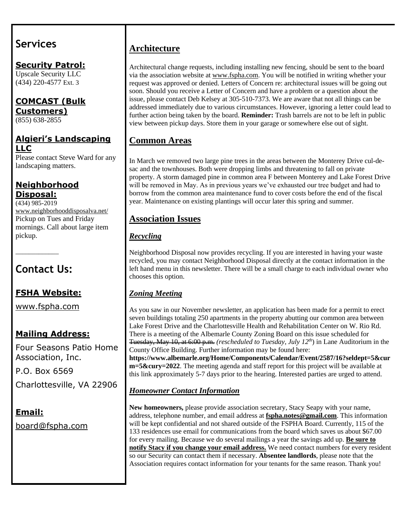## **Services**

**Security Patrol:** Upscale Security LLC (434) 220-4577 Ext. 3

**COMCAST (Bulk Customers)** (855) 638-2855

#### **Algieri's Landscaping LLC**

Please contact Steve Ward for any landscaping matters.

#### **Neighborhood Disposal:**

 $\frac{1}{(434)985-2019}$ [www.neighborhooddisposalva.net/](http://www.neighborhooddisposalva.net/) Pickup on Tues and Friday mornings. Call about large item pickup.

## **Contact Us:**

\_\_\_\_\_\_\_\_\_\_\_\_\_

## **FSHA Website:**

[www.fspha.com](http://www.fspha.com/)

## **Mailing Address:**

Four Seasons Patio Home Association, Inc.

P.O. Box 6569

Charlottesville, VA 22906

## **Email:**

[board@fspha.com](mailto:board@fspha.com)

## **Architecture**

Architectural change requests, including installing new fencing, should be sent to the board via the association website at www.fspha.com. You will be notified in writing whether your request was approved or denied. Letters of Concern re: architectural issues will be going out soon. Should you receive a Letter of Concern and have a problem or a question about the issue, please contact Deb Kelsey at 305-510-7373. We are aware that not all things can be addressed immediately due to various circumstances. However, ignoring a letter could lead to further action being taken by the board. **Reminder:** Trash barrels are not to be left in public view between pickup days. Store them in your garage or somewhere else out of sight.

## **Common Areas**

In March we removed two large pine trees in the areas between the Monterey Drive cul-desac and the townhouses. Both were dropping limbs and threatening to fall on private property. A storm damaged pine in common area F between Monterey and Lake Forest Drive will be removed in May. As in previous years we've exhausted our tree budget and had to borrow from the common area maintenance fund to cover costs before the end of the fiscal year. Maintenance on existing plantings will occur later this spring and summer.

#### **Association Issues**

#### *Recycling*

Neighborhood Disposal now provides recycling. If you are interested in having your waste recycled, you may contact Neighborhood Disposal directly at the contact information in the left hand menu in this newsletter. There will be a small charge to each individual owner who chooses this option.

#### *Zoning Meeting*

As you saw in our November newsletter, an application has been made for a permit to erect seven buildings totaling 250 apartments in the property abutting our common area between Lake Forest Drive and the Charlottesville Health and Rehabilitation Center on W. Rio Rd. There is a meeting of the Albemarle County Zoning Board on this issue scheduled for Tuesday, May 10, at 6:00 p.m. *(rescheduled to Tuesday, July 12th*) in Lane Auditorium in the County Office Building. Further information may be found here:

**[https://www.albemarle.org/Home/Components/Calendar/Event/2587/16?seldept=5&cur](https://www.albemarle.org/Home/Components/Calendar/Event/2587/16?seldept=5&curm=5&cury=2022) [m=5&cury=2022](https://www.albemarle.org/Home/Components/Calendar/Event/2587/16?seldept=5&curm=5&cury=2022)**. The meeting agenda and staff report for this project will be available at this link approximately 5-7 days prior to the hearing. Interested parties are urged to attend.

#### *Homeowner Contact Information*

**New homeowners,** please provide association secretary, Stacy Seapy with your name, address, telephone number, and email address at **fspha.notes@gmail.com**. This information will be kept confidential and not shared outside of the FSPHA Board. Currently, 115 of the 133 residences use email for communications from the board which saves us about \$67.00 for every mailing. Because we do several mailings a year the savings add up. **Be sure to notify Stacy if you change your email address.** We need contact numbers for every resident so our Security can contact them if necessary. **Absentee landlords**, please note that the Association requires contact information for your tenants for the same reason. Thank you!